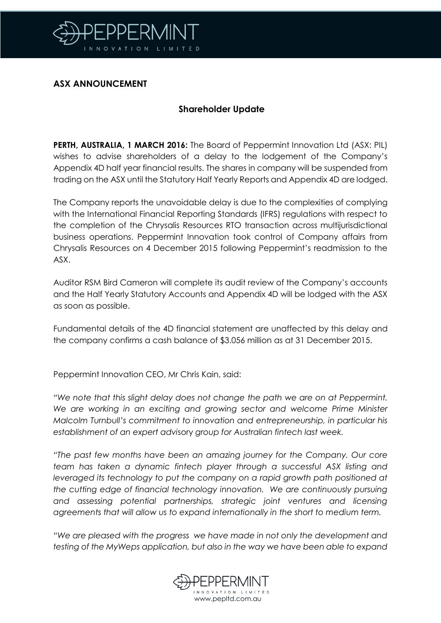

## **ASX ANNOUNCEMENT**

## **Shareholder Update**

**PERTH, AUSTRALIA, 1 MARCH 2016:** The Board of Peppermint Innovation Ltd (ASX: PIL) wishes to advise shareholders of a delay to the lodgement of the Company's Appendix 4D half year financial results. The shares in company will be suspended from trading on the ASX until the Statutory Half Yearly Reports and Appendix 4D are lodged.

The Company reports the unavoidable delay is due to the complexities of complying with the International Financial Reporting Standards (IFRS) regulations with respect to the completion of the Chrysalis Resources RTO transaction across multijurisdictional business operations. Peppermint Innovation took control of Company affairs from Chrysalis Resources on 4 December 2015 following Peppermint's readmission to the ASX.

Auditor RSM Bird Cameron will complete its audit review of the Company's accounts and the Half Yearly Statutory Accounts and Appendix 4D will be lodged with the ASX as soon as possible.

Fundamental details of the 4D financial statement are unaffected by this delay and the company confirms a cash balance of \$3.056 million as at 31 December 2015.

Peppermint Innovation CEO, Mr Chris Kain, said:

*"We note that this slight delay does not change the path we are on at Peppermint. We are working in an exciting and growing sector and welcome Prime Minister Malcolm Turnbull's commitment to innovation and entrepreneurship, in particular his establishment of an expert advi*sory *group for Australian fintech last week.* 

*"The past few months have been an amazing journey for the Company. Our core team has taken a dynamic fintech player through a successful ASX listing and leveraged its technology to put the company on a rapid growth path positioned at the cutting edge of financial technology innovation. We are continuously pursuing*  and assessing potential partnerships, strategic joint ventures and licensing *agreements that will allow us to expand internationally in the short to medium term.*

"*We are pleased with the progress we have made in not only the development and testing of the MyWeps application, but also in the way we have been able to expand*